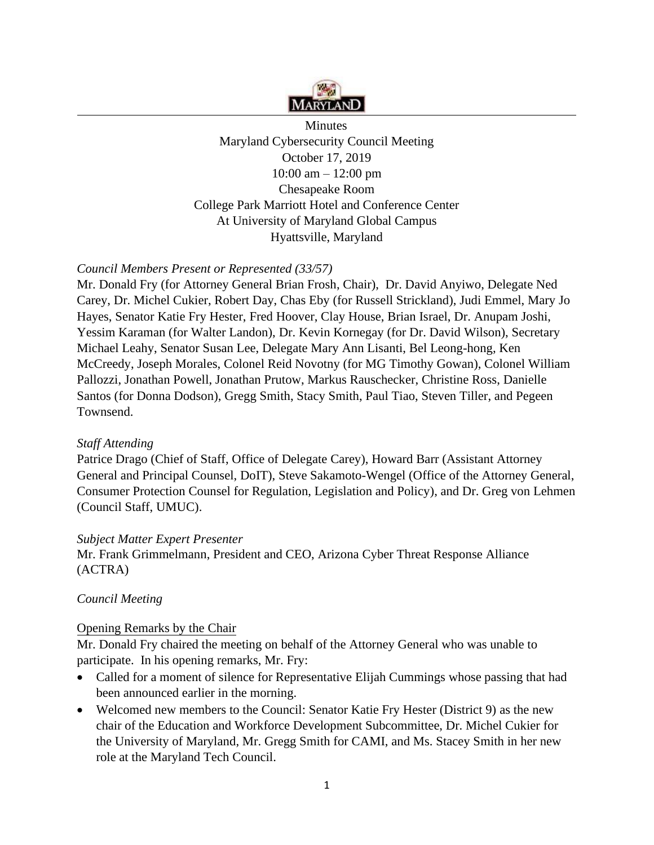

**Minutes** Maryland Cybersecurity Council Meeting October 17, 2019 10:00 am – 12:00 pm Chesapeake Room College Park Marriott Hotel and Conference Center At University of Maryland Global Campus Hyattsville, Maryland

# *Council Members Present or Represented (33/57)*

Mr. Donald Fry (for Attorney General Brian Frosh, Chair), Dr. David Anyiwo, Delegate Ned Carey, Dr. Michel Cukier, Robert Day, Chas Eby (for Russell Strickland), Judi Emmel, Mary Jo Hayes, Senator Katie Fry Hester, Fred Hoover, Clay House, Brian Israel, Dr. Anupam Joshi, Yessim Karaman (for Walter Landon), Dr. Kevin Kornegay (for Dr. David Wilson), Secretary Michael Leahy, Senator Susan Lee, Delegate Mary Ann Lisanti, Bel Leong-hong, Ken McCreedy, Joseph Morales, Colonel Reid Novotny (for MG Timothy Gowan), Colonel William Pallozzi, Jonathan Powell, Jonathan Prutow, Markus Rauschecker, Christine Ross, Danielle Santos (for Donna Dodson), Gregg Smith, Stacy Smith, Paul Tiao, Steven Tiller, and Pegeen Townsend.

## *Staff Attending*

Patrice Drago (Chief of Staff, Office of Delegate Carey), Howard Barr (Assistant Attorney General and Principal Counsel, DoIT), Steve Sakamoto-Wengel (Office of the Attorney General, Consumer Protection Counsel for Regulation, Legislation and Policy), and Dr. Greg von Lehmen (Council Staff, UMUC).

## *Subject Matter Expert Presenter*

Mr. Frank Grimmelmann, President and CEO, Arizona Cyber Threat Response Alliance (ACTRA)

## *Council Meeting*

#### Opening Remarks by the Chair

Mr. Donald Fry chaired the meeting on behalf of the Attorney General who was unable to participate. In his opening remarks, Mr. Fry:

- Called for a moment of silence for Representative Elijah Cummings whose passing that had been announced earlier in the morning.
- Welcomed new members to the Council: Senator Katie Fry Hester (District 9) as the new chair of the Education and Workforce Development Subcommittee, Dr. Michel Cukier for the University of Maryland, Mr. Gregg Smith for CAMI, and Ms. Stacey Smith in her new role at the Maryland Tech Council.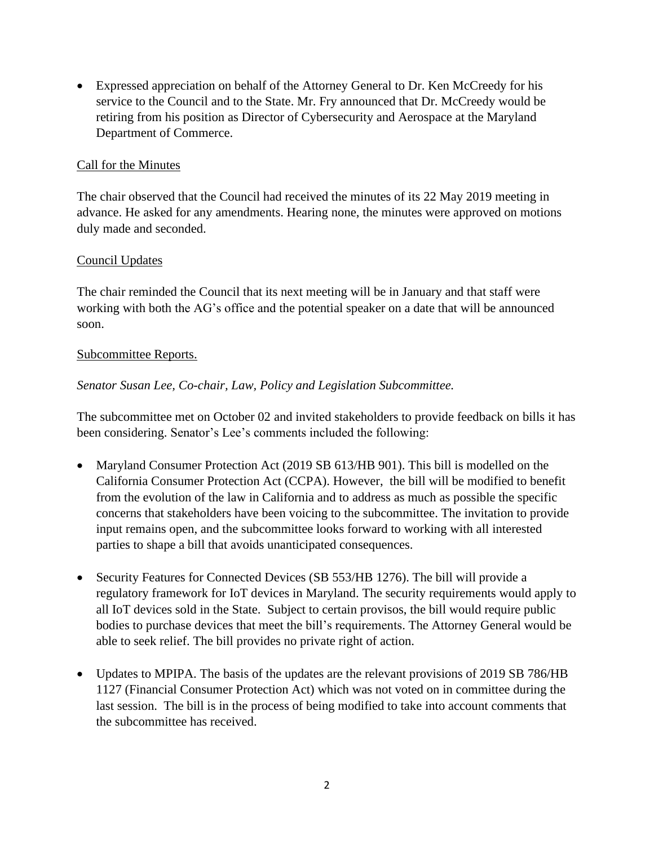• Expressed appreciation on behalf of the Attorney General to Dr. Ken McCreedy for his service to the Council and to the State. Mr. Fry announced that Dr. McCreedy would be retiring from his position as Director of Cybersecurity and Aerospace at the Maryland Department of Commerce.

### Call for the Minutes

The chair observed that the Council had received the minutes of its 22 May 2019 meeting in advance. He asked for any amendments. Hearing none, the minutes were approved on motions duly made and seconded.

### Council Updates

The chair reminded the Council that its next meeting will be in January and that staff were working with both the AG's office and the potential speaker on a date that will be announced soon.

#### Subcommittee Reports.

## *Senator Susan Lee, Co-chair, Law, Policy and Legislation Subcommittee.*

The subcommittee met on October 02 and invited stakeholders to provide feedback on bills it has been considering. Senator's Lee's comments included the following:

- Maryland Consumer Protection Act (2019 SB 613/HB 901). This bill is modelled on the California Consumer Protection Act (CCPA). However, the bill will be modified to benefit from the evolution of the law in California and to address as much as possible the specific concerns that stakeholders have been voicing to the subcommittee. The invitation to provide input remains open, and the subcommittee looks forward to working with all interested parties to shape a bill that avoids unanticipated consequences.
- Security Features for Connected Devices (SB 553/HB 1276). The bill will provide a regulatory framework for IoT devices in Maryland. The security requirements would apply to all IoT devices sold in the State. Subject to certain provisos, the bill would require public bodies to purchase devices that meet the bill's requirements. The Attorney General would be able to seek relief. The bill provides no private right of action.
- Updates to MPIPA. The basis of the updates are the relevant provisions of 2019 SB 786/HB 1127 (Financial Consumer Protection Act) which was not voted on in committee during the last session. The bill is in the process of being modified to take into account comments that the subcommittee has received.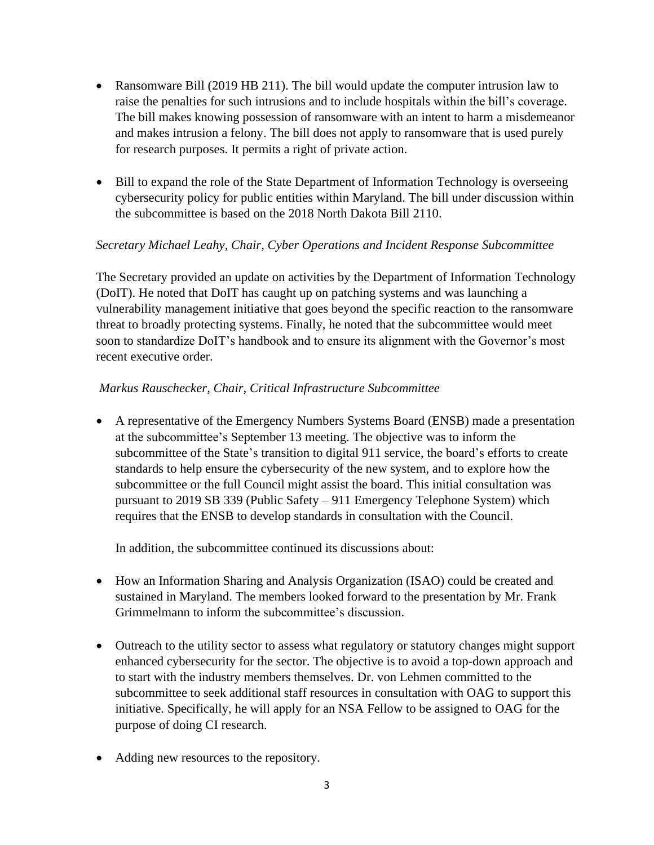- Ransomware Bill (2019 HB 211). The bill would update the computer intrusion law to raise the penalties for such intrusions and to include hospitals within the bill's coverage. The bill makes knowing possession of ransomware with an intent to harm a misdemeanor and makes intrusion a felony. The bill does not apply to ransomware that is used purely for research purposes. It permits a right of private action.
- Bill to expand the role of the State Department of Information Technology is overseeing cybersecurity policy for public entities within Maryland. The bill under discussion within the subcommittee is based on the 2018 North Dakota Bill 2110.

# *Secretary Michael Leahy, Chair, Cyber Operations and Incident Response Subcommittee*

The Secretary provided an update on activities by the Department of Information Technology (DoIT). He noted that DoIT has caught up on patching systems and was launching a vulnerability management initiative that goes beyond the specific reaction to the ransomware threat to broadly protecting systems. Finally, he noted that the subcommittee would meet soon to standardize DoIT's handbook and to ensure its alignment with the Governor's most recent executive order.

# *Markus Rauschecker, Chair, Critical Infrastructure Subcommittee*

• A representative of the Emergency Numbers Systems Board (ENSB) made a presentation at the subcommittee's September 13 meeting. The objective was to inform the subcommittee of the State's transition to digital 911 service, the board's efforts to create standards to help ensure the cybersecurity of the new system, and to explore how the subcommittee or the full Council might assist the board. This initial consultation was pursuant to 2019 SB 339 (Public Safety – 911 Emergency Telephone System) which requires that the ENSB to develop standards in consultation with the Council.

In addition, the subcommittee continued its discussions about:

- How an Information Sharing and Analysis Organization (ISAO) could be created and sustained in Maryland. The members looked forward to the presentation by Mr. Frank Grimmelmann to inform the subcommittee's discussion.
- Outreach to the utility sector to assess what regulatory or statutory changes might support enhanced cybersecurity for the sector. The objective is to avoid a top-down approach and to start with the industry members themselves. Dr. von Lehmen committed to the subcommittee to seek additional staff resources in consultation with OAG to support this initiative. Specifically, he will apply for an NSA Fellow to be assigned to OAG for the purpose of doing CI research.
- Adding new resources to the repository.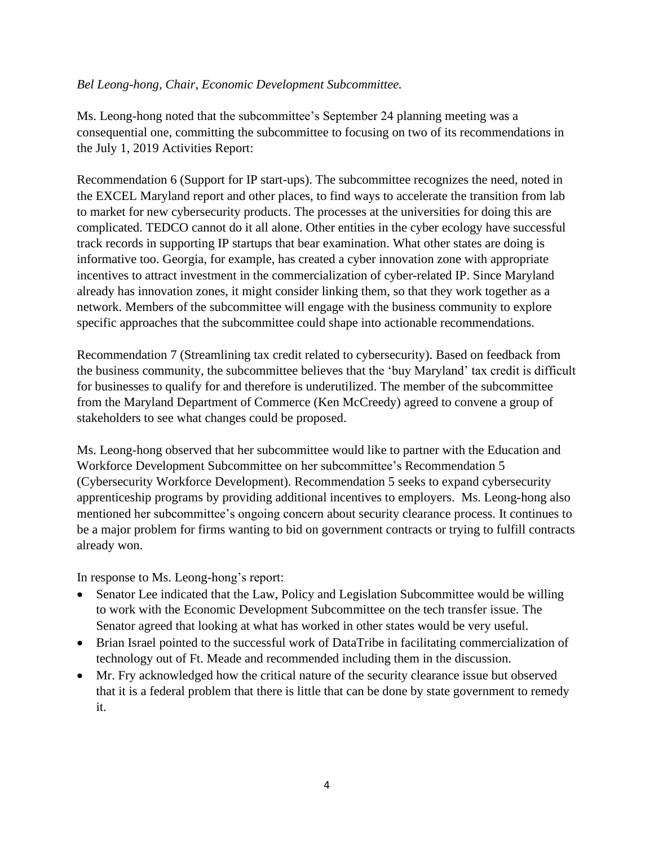### *Bel Leong-hong, Chair, Economic Development Subcommittee.*

Ms. Leong-hong noted that the subcommittee's September 24 planning meeting was a consequential one, committing the subcommittee to focusing on two of its recommendations in the July 1, 2019 Activities Report:

Recommendation 6 (Support for IP start-ups). The subcommittee recognizes the need, noted in the EXCEL Maryland report and other places, to find ways to accelerate the transition from lab to market for new cybersecurity products. The processes at the universities for doing this are complicated. TEDCO cannot do it all alone. Other entities in the cyber ecology have successful track records in supporting IP startups that bear examination. What other states are doing is informative too. Georgia, for example, has created a cyber innovation zone with appropriate incentives to attract investment in the commercialization of cyber-related IP. Since Maryland already has innovation zones, it might consider linking them, so that they work together as a network. Members of the subcommittee will engage with the business community to explore specific approaches that the subcommittee could shape into actionable recommendations.

Recommendation 7 (Streamlining tax credit related to cybersecurity). Based on feedback from the business community, the subcommittee believes that the 'buy Maryland' tax credit is difficult for businesses to qualify for and therefore is underutilized. The member of the subcommittee from the Maryland Department of Commerce (Ken McCreedy) agreed to convene a group of stakeholders to see what changes could be proposed.

Ms. Leong-hong observed that her subcommittee would like to partner with the Education and Workforce Development Subcommittee on her subcommittee's Recommendation 5 (Cybersecurity Workforce Development). Recommendation 5 seeks to expand cybersecurity apprenticeship programs by providing additional incentives to employers. Ms. Leong-hong also mentioned her subcommittee's ongoing concern about security clearance process. It continues to be a major problem for firms wanting to bid on government contracts or trying to fulfill contracts already won.

In response to Ms. Leong-hong's report:

- Senator Lee indicated that the Law, Policy and Legislation Subcommittee would be willing to work with the Economic Development Subcommittee on the tech transfer issue. The Senator agreed that looking at what has worked in other states would be very useful.
- Brian Israel pointed to the successful work of DataTribe in facilitating commercialization of technology out of Ft. Meade and recommended including them in the discussion.
- Mr. Fry acknowledged how the critical nature of the security clearance issue but observed that it is a federal problem that there is little that can be done by state government to remedy it.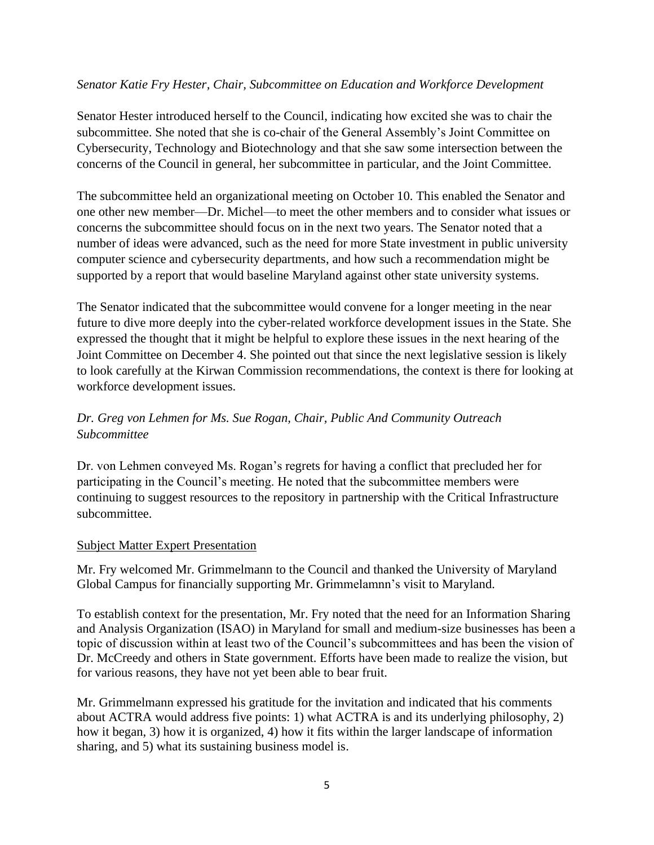### *Senator Katie Fry Hester, Chair, Subcommittee on Education and Workforce Development*

Senator Hester introduced herself to the Council, indicating how excited she was to chair the subcommittee. She noted that she is co-chair of the General Assembly's Joint Committee on Cybersecurity, Technology and Biotechnology and that she saw some intersection between the concerns of the Council in general, her subcommittee in particular, and the Joint Committee.

The subcommittee held an organizational meeting on October 10. This enabled the Senator and one other new member—Dr. Michel—to meet the other members and to consider what issues or concerns the subcommittee should focus on in the next two years. The Senator noted that a number of ideas were advanced, such as the need for more State investment in public university computer science and cybersecurity departments, and how such a recommendation might be supported by a report that would baseline Maryland against other state university systems.

The Senator indicated that the subcommittee would convene for a longer meeting in the near future to dive more deeply into the cyber-related workforce development issues in the State. She expressed the thought that it might be helpful to explore these issues in the next hearing of the Joint Committee on December 4. She pointed out that since the next legislative session is likely to look carefully at the Kirwan Commission recommendations, the context is there for looking at workforce development issues.

# *Dr. Greg von Lehmen for Ms. Sue Rogan, Chair, Public And Community Outreach Subcommittee*

Dr. von Lehmen conveyed Ms. Rogan's regrets for having a conflict that precluded her for participating in the Council's meeting. He noted that the subcommittee members were continuing to suggest resources to the repository in partnership with the Critical Infrastructure subcommittee.

#### Subject Matter Expert Presentation

Mr. Fry welcomed Mr. Grimmelmann to the Council and thanked the University of Maryland Global Campus for financially supporting Mr. Grimmelamnn's visit to Maryland.

To establish context for the presentation, Mr. Fry noted that the need for an Information Sharing and Analysis Organization (ISAO) in Maryland for small and medium-size businesses has been a topic of discussion within at least two of the Council's subcommittees and has been the vision of Dr. McCreedy and others in State government. Efforts have been made to realize the vision, but for various reasons, they have not yet been able to bear fruit.

Mr. Grimmelmann expressed his gratitude for the invitation and indicated that his comments about ACTRA would address five points: 1) what ACTRA is and its underlying philosophy, 2) how it began, 3) how it is organized, 4) how it fits within the larger landscape of information sharing, and 5) what its sustaining business model is.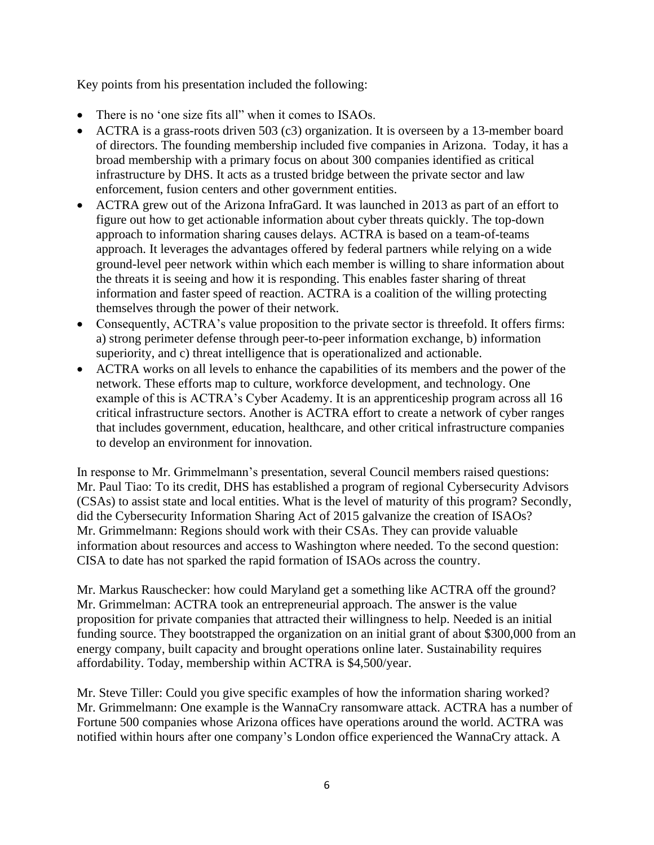Key points from his presentation included the following:

- There is no 'one size fits all'' when it comes to ISAOs.
- ACTRA is a grass-roots driven 503 (c3) organization. It is overseen by a 13-member board of directors. The founding membership included five companies in Arizona. Today, it has a broad membership with a primary focus on about 300 companies identified as critical infrastructure by DHS. It acts as a trusted bridge between the private sector and law enforcement, fusion centers and other government entities.
- ACTRA grew out of the Arizona InfraGard. It was launched in 2013 as part of an effort to figure out how to get actionable information about cyber threats quickly. The top-down approach to information sharing causes delays. ACTRA is based on a team-of-teams approach. It leverages the advantages offered by federal partners while relying on a wide ground-level peer network within which each member is willing to share information about the threats it is seeing and how it is responding. This enables faster sharing of threat information and faster speed of reaction. ACTRA is a coalition of the willing protecting themselves through the power of their network.
- Consequently, ACTRA's value proposition to the private sector is threefold. It offers firms: a) strong perimeter defense through peer-to-peer information exchange, b) information superiority, and c) threat intelligence that is operationalized and actionable.
- ACTRA works on all levels to enhance the capabilities of its members and the power of the network. These efforts map to culture, workforce development, and technology. One example of this is ACTRA's Cyber Academy. It is an apprenticeship program across all 16 critical infrastructure sectors. Another is ACTRA effort to create a network of cyber ranges that includes government, education, healthcare, and other critical infrastructure companies to develop an environment for innovation.

In response to Mr. Grimmelmann's presentation, several Council members raised questions: Mr. Paul Tiao: To its credit, DHS has established a program of regional Cybersecurity Advisors (CSAs) to assist state and local entities. What is the level of maturity of this program? Secondly, did the Cybersecurity Information Sharing Act of 2015 galvanize the creation of ISAOs? Mr. Grimmelmann: Regions should work with their CSAs. They can provide valuable information about resources and access to Washington where needed. To the second question: CISA to date has not sparked the rapid formation of ISAOs across the country.

Mr. Markus Rauschecker: how could Maryland get a something like ACTRA off the ground? Mr. Grimmelman: ACTRA took an entrepreneurial approach. The answer is the value proposition for private companies that attracted their willingness to help. Needed is an initial funding source. They bootstrapped the organization on an initial grant of about \$300,000 from an energy company, built capacity and brought operations online later. Sustainability requires affordability. Today, membership within ACTRA is \$4,500/year.

Mr. Steve Tiller: Could you give specific examples of how the information sharing worked? Mr. Grimmelmann: One example is the WannaCry ransomware attack. ACTRA has a number of Fortune 500 companies whose Arizona offices have operations around the world. ACTRA was notified within hours after one company's London office experienced the WannaCry attack. A